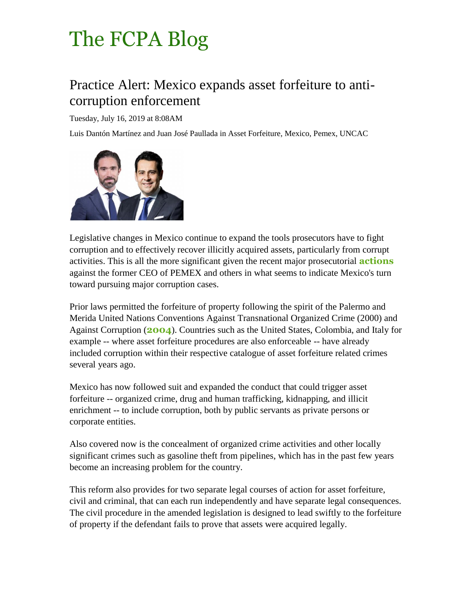## The [FCPA](http://www.fcpablog.com/) Blog

## Practice Alert: Mexico expands asset forfeiture to anticorruption enforcement

Tuesday, July 16, 2019 at 8:08AM

Luis Dantón Martínez and Juan José Paullada in Asset Forfeiture, Mexico, Pemex, UNCAC



Legislative changes in Mexico continue to expand the tools prosecutors have to fight corruption and to effectively recover illicitly acquired assets, particularly from corrupt activities. This is all the more significant given the recent major prosecutorial **[actions](http://www.fcpablog.com/blog/2019/6/13/mexico-joins-the-anti-bribery-enforcement-bandwagon.html)** against the former CEO of PEMEX and others in what seems to indicate Mexico's turn toward pursuing major corruption cases.

Prior laws permitted the forfeiture of property following the spirit of the Palermo and Merida United Nations Conventions Against Transnational Organized Crime (2000) and Against Corruption (**[2004](https://www.un.org/press/en/2004/soccp301.doc.htm)**). Countries such as the United States, Colombia, and Italy for example -- where asset forfeiture procedures are also enforceable -- have already included corruption within their respective catalogue of asset forfeiture related crimes several years ago.

Mexico has now followed suit and expanded the conduct that could trigger asset forfeiture -- organized crime, drug and human trafficking, kidnapping, and illicit enrichment -- to include corruption, both by public servants as private persons or corporate entities.

Also covered now is the concealment of organized crime activities and other locally significant crimes such as gasoline theft from pipelines, which has in the past few years become an increasing problem for the country.

This reform also provides for two separate legal courses of action for asset forfeiture, civil and criminal, that can each run independently and have separate legal consequences. The civil procedure in the amended legislation is designed to lead swiftly to the forfeiture of property if the defendant fails to prove that assets were acquired legally.